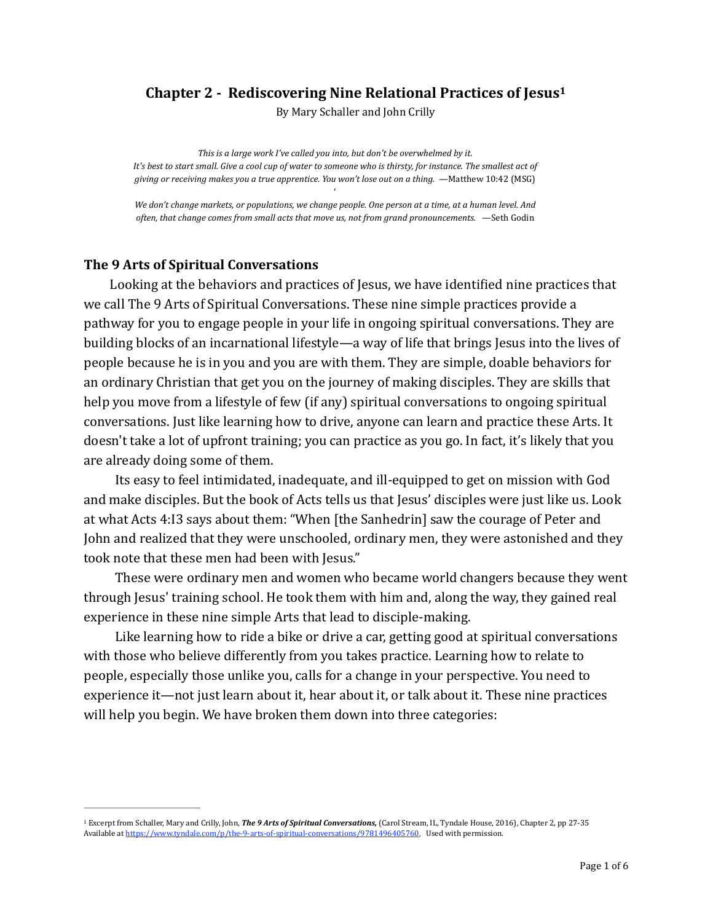## **Chapter 2 - Rediscovering Nine Relational Practices of Jesus<sup>[1](#page-0-0)</sup>**

<span id="page-0-1"></span>By Mary Schaller and John Crilly

This is a large work I've called you into, but don't be overwhelmed by it. *It's* best to start small. Give a cool cup of water to someone who is thirsty, for instance. The smallest act of *giving* or receiving makes you a true apprentice. You won't lose out on a thing. —Matthew 10:42 (MSG)

' We don't change markets, or populations, we change people. One person at a time, at a human level. And *often, that change comes from small acts that move us, not from grand pronouncements.* —Seth Godin

## **The 9 Arts of Spiritual Conversations**

Looking at the behaviors and practices of Jesus, we have identified nine practices that we call The 9 Arts of Spiritual Conversations. These nine simple practices provide a pathway for you to engage people in your life in ongoing spiritual conversations. They are building blocks of an incarnational lifestyle—a way of life that brings Jesus into the lives of people because he is in you and you are with them. They are simple, doable behaviors for an ordinary Christian that get you on the journey of making disciples. They are skills that help you move from a lifestyle of few (if any) spiritual conversations to ongoing spiritual conversations. Just like learning how to drive, anyone can learn and practice these Arts. It doesn't take a lot of upfront training; you can practice as you go. In fact, it's likely that you are already doing some of them.

Its easy to feel intimidated, inadequate, and ill-equipped to get on mission with God and make disciples. But the book of Acts tells us that Jesus' disciples were just like us. Look at what Acts 4:I3 says about them: "When [the Sanhedrin] saw the courage of Peter and John and realized that they were unschooled, ordinary men, they were astonished and they took note that these men had been with Jesus."

These were ordinary men and women who became world changers because they went through Jesus' training school. He took them with him and, along the way, they gained real experience in these nine simple Arts that lead to disciple-making.

Like learning how to ride a bike or drive a car, getting good at spiritual conversations with those who believe differently from you takes practice. Learning how to relate to people, especially those unlike you, calls for a change in your perspective. You need to experience it—not just learn about it, hear about it, or talk about it. These nine practices will help you begin. We have broken them down into three categories:

<span id="page-0-0"></span><sup>&</sup>lt;sup>1</sup> Excerpt from Schaller, Mary and Crilly, John, *The 9 Arts of Spiritual Conversations*, (Carol Stream, IL, Tyndale House, 2016), Chapter 2, pp 27-35 Available at https://www.tyndale.com/p/the-9-arts-of-spiritual-conversations/9781496405760, Used with permission.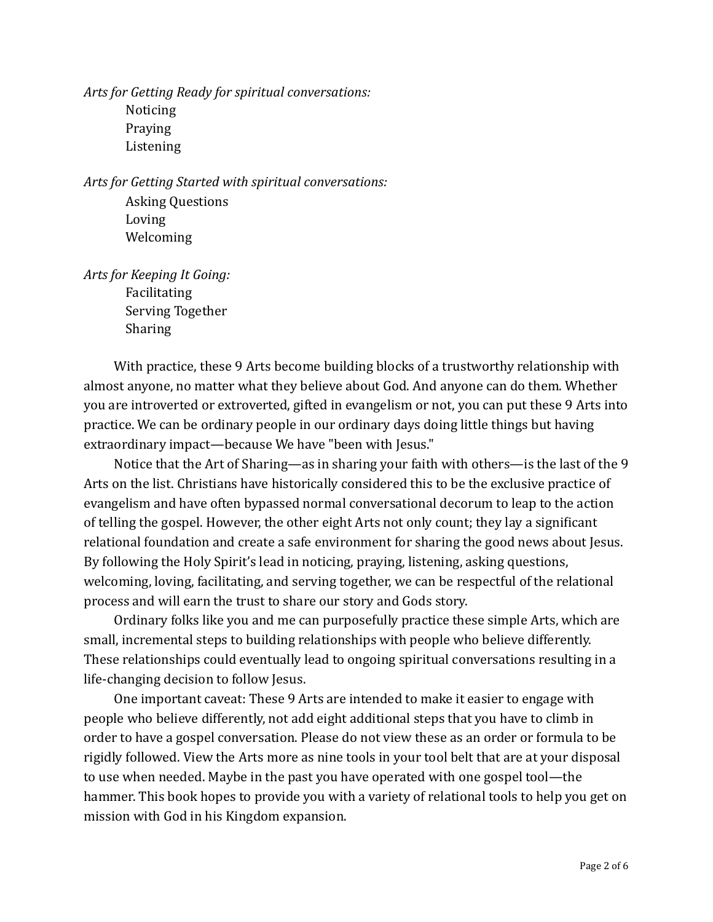Arts for Getting Ready for spiritual conversations: Noticing Praying Listening

Arts for Getting Started with spiritual conversations: **Asking Questions**  Loving Welcoming

Arts for Keeping It Going: Facilitating Serving Together Sharing

With practice, these 9 Arts become building blocks of a trustworthy relationship with almost anyone, no matter what they believe about God. And anyone can do them. Whether you are introverted or extroverted, gifted in evangelism or not, you can put these 9 Arts into practice. We can be ordinary people in our ordinary days doing little things but having extraordinary impact—because We have "been with Jesus."

Notice that the Art of Sharing—as in sharing your faith with others—is the last of the 9 Arts on the list. Christians have historically considered this to be the exclusive practice of evangelism and have often bypassed normal conversational decorum to leap to the action of telling the gospel. However, the other eight Arts not only count; they lay a significant relational foundation and create a safe environment for sharing the good news about Jesus. By following the Holy Spirit's lead in noticing, praying, listening, asking questions, welcoming, loving, facilitating, and serving together, we can be respectful of the relational process and will earn the trust to share our story and Gods story.

Ordinary folks like you and me can purposefully practice these simple Arts, which are small, incremental steps to building relationships with people who believe differently. These relationships could eventually lead to ongoing spiritual conversations resulting in a life-changing decision to follow Jesus.

One important caveat: These 9 Arts are intended to make it easier to engage with people who believe differently, not add eight additional steps that you have to climb in order to have a gospel conversation. Please do not view these as an order or formula to be rigidly followed. View the Arts more as nine tools in your tool belt that are at your disposal to use when needed. Maybe in the past you have operated with one gospel tool—the hammer. This book hopes to provide you with a variety of relational tools to help you get on mission with God in his Kingdom expansion.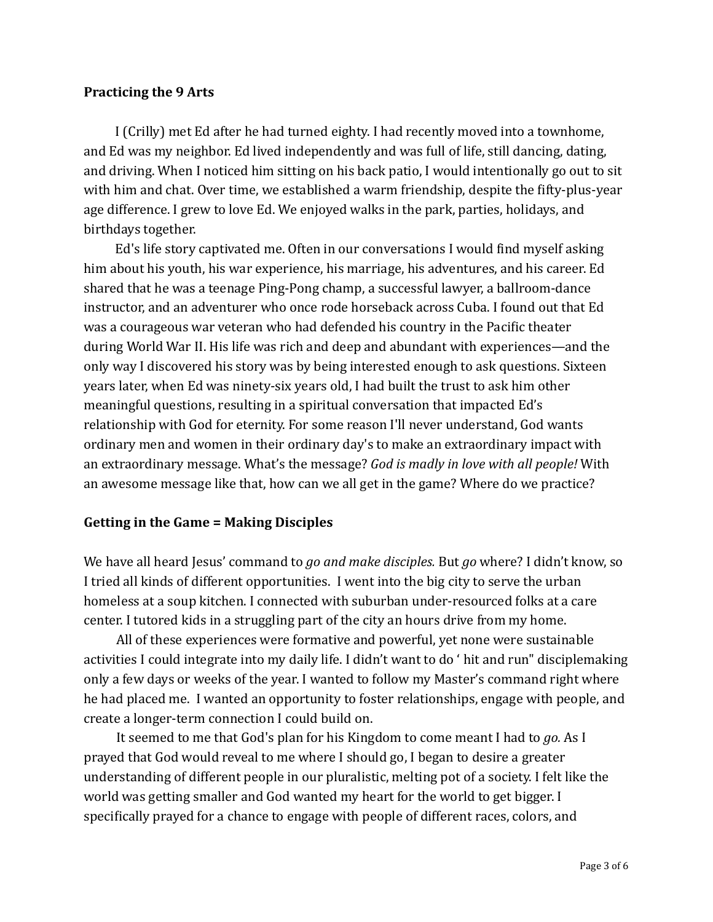## **Practicing the 9 Arts**

I (Crilly) met Ed after he had turned eighty. I had recently moved into a townhome, and Ed was my neighbor. Ed lived independently and was full of life, still dancing, dating, and driving. When I noticed him sitting on his back patio, I would intentionally go out to sit with him and chat. Over time, we established a warm friendship, despite the fifty-plus-year age difference. I grew to love Ed. We enjoyed walks in the park, parties, holidays, and birthdays together.

Ed's life story captivated me. Often in our conversations I would find myself asking him about his youth, his war experience, his marriage, his adventures, and his career. Ed shared that he was a teenage Ping-Pong champ, a successful lawyer, a ballroom-dance instructor, and an adventurer who once rode horseback across Cuba. I found out that Ed was a courageous war veteran who had defended his country in the Pacific theater during World War II. His life was rich and deep and abundant with experiences—and the only way I discovered his story was by being interested enough to ask questions. Sixteen years later, when Ed was ninety-six years old, I had built the trust to ask him other meaningful questions, resulting in a spiritual conversation that impacted Ed's relationship with God for eternity. For some reason I'll never understand, God wants ordinary men and women in their ordinary day's to make an extraordinary impact with an extraordinary message. What's the message? *God is madly in love with all people!* With an awesome message like that, how can we all get in the game? Where do we practice?

## **Getting in the Game = Making Disciples**

We have all heard Jesus' command to *go and make disciples*. But *go* where? I didn't know, so I tried all kinds of different opportunities. I went into the big city to serve the urban homeless at a soup kitchen. I connected with suburban under-resourced folks at a care center. I tutored kids in a struggling part of the city an hours drive from my home.

All of these experiences were formative and powerful, yet none were sustainable activities I could integrate into my daily life. I didn't want to do ' hit and run" disciplemaking only a few days or weeks of the year. I wanted to follow my Master's command right where he had placed me. I wanted an opportunity to foster relationships, engage with people, and create a longer-term connection I could build on.

It seemed to me that God's plan for his Kingdom to come meant I had to go. As I prayed that God would reveal to me where I should go, I began to desire a greater understanding of different people in our pluralistic, melting pot of a society. I felt like the world was getting smaller and God wanted my heart for the world to get bigger. I specifically prayed for a chance to engage with people of different races, colors, and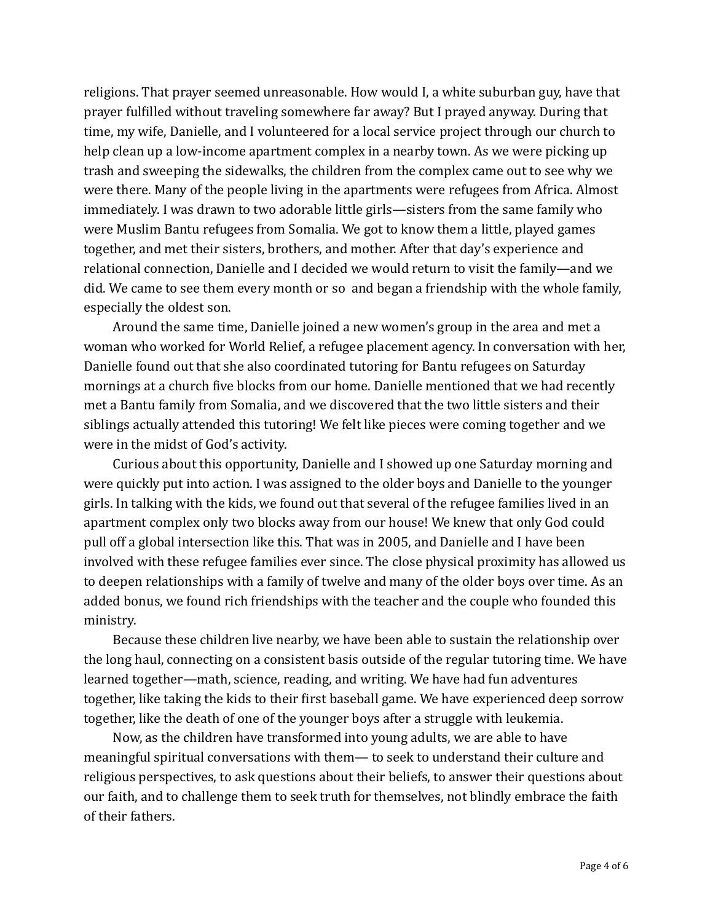religions. That prayer seemed unreasonable. How would I, a white suburban guy, have that prayer fulfilled without traveling somewhere far away? But I prayed anyway. During that time, my wife, Danielle, and I volunteered for a local service project through our church to help clean up a low-income apartment complex in a nearby town. As we were picking up trash and sweeping the sidewalks, the children from the complex came out to see why we were there. Many of the people living in the apartments were refugees from Africa. Almost immediately. I was drawn to two adorable little girls—sisters from the same family who were Muslim Bantu refugees from Somalia. We got to know them a little, played games together, and met their sisters, brothers, and mother. After that day's experience and relational connection, Danielle and I decided we would return to visit the family—and we did. We came to see them every month or so and began a friendship with the whole family, especially the oldest son.

Around the same time, Danielle joined a new women's group in the area and met a woman who worked for World Relief, a refugee placement agency. In conversation with her, Danielle found out that she also coordinated tutoring for Bantu refugees on Saturday mornings at a church five blocks from our home. Danielle mentioned that we had recently met a Bantu family from Somalia, and we discovered that the two little sisters and their siblings actually attended this tutoring! We felt like pieces were coming together and we were in the midst of God's activity.

Curious about this opportunity, Danielle and I showed up one Saturday morning and were quickly put into action. I was assigned to the older boys and Danielle to the younger girls. In talking with the kids, we found out that several of the refugee families lived in an apartment complex only two blocks away from our house! We knew that only God could pull off a global intersection like this. That was in 2005, and Danielle and I have been involved with these refugee families ever since. The close physical proximity has allowed us to deepen relationships with a family of twelve and many of the older boys over time. As an added bonus, we found rich friendships with the teacher and the couple who founded this ministry.

Because these children live nearby, we have been able to sustain the relationship over the long haul, connecting on a consistent basis outside of the regular tutoring time. We have learned together—math, science, reading, and writing. We have had fun adventures together, like taking the kids to their first baseball game. We have experienced deep sorrow together, like the death of one of the younger boys after a struggle with leukemia.

Now, as the children have transformed into young adults, we are able to have meaningful spiritual conversations with them— to seek to understand their culture and religious perspectives, to ask questions about their beliefs, to answer their questions about our faith, and to challenge them to seek truth for themselves, not blindly embrace the faith of their fathers.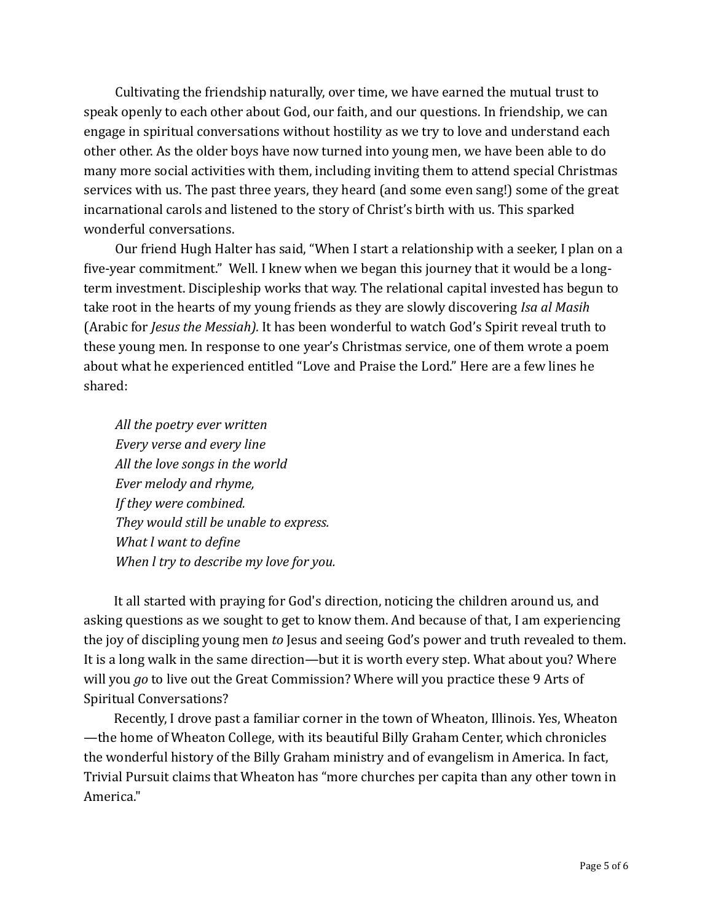Cultivating the friendship naturally, over time, we have earned the mutual trust to speak openly to each other about God, our faith, and our questions. In friendship, we can engage in spiritual conversations without hostility as we try to love and understand each other other. As the older boys have now turned into young men, we have been able to do many more social activities with them, including inviting them to attend special Christmas services with us. The past three years, they heard (and some even sang!) some of the great incarnational carols and listened to the story of Christ's birth with us. This sparked wonderful conversations.

Our friend Hugh Halter has said, "When I start a relationship with a seeker, I plan on a five-year commitment." Well. I knew when we began this journey that it would be a longterm investment. Discipleship works that way. The relational capital invested has begun to take root in the hearts of my young friends as they are slowly discovering *Isa al Masih* (Arabic for *Jesus the Messiah*). It has been wonderful to watch God's Spirit reveal truth to these young men. In response to one year's Christmas service, one of them wrote a poem about what he experienced entitled "Love and Praise the Lord." Here are a few lines he shared:

*All the poetry ever written Every verse and every line* All the love songs in the world *Ever melody and rhyme, If they were combined. They* would still be unable to express. *What I want to define When l try to describe my love for you.* 

It all started with praying for God's direction, noticing the children around us, and asking questions as we sought to get to know them. And because of that, I am experiencing the joy of discipling young men *to* Jesus and seeing God's power and truth revealed to them. It is a long walk in the same direction—but it is worth every step. What about you? Where will you go to live out the Great Commission? Where will you practice these 9 Arts of Spiritual Conversations?

Recently, I drove past a familiar corner in the town of Wheaton, Illinois. Yes, Wheaton —the home of Wheaton College, with its beautiful Billy Graham Center, which chronicles the wonderful history of the Billy Graham ministry and of evangelism in America. In fact, Trivial Pursuit claims that Wheaton has "more churches per capita than any other town in America."